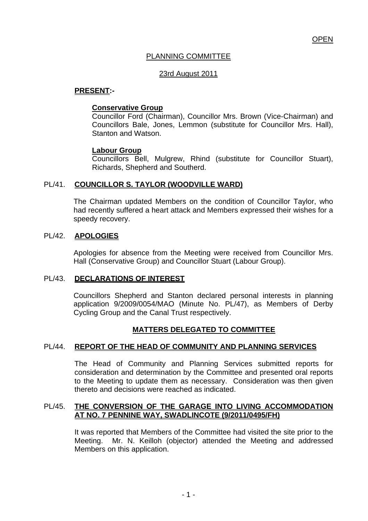# PLANNING COMMITTEE

## 23rd August 2011

## **PRESENT:-**

## **Conservative Group**

Councillor Ford (Chairman), Councillor Mrs. Brown (Vice-Chairman) and Councillors Bale, Jones, Lemmon (substitute for Councillor Mrs. Hall), Stanton and Watson.

## **Labour Group**

Councillors Bell, Mulgrew, Rhind (substitute for Councillor Stuart), Richards, Shepherd and Southerd.

# PL/41. **COUNCILLOR S. TAYLOR (WOODVILLE WARD)**

The Chairman updated Members on the condition of Councillor Taylor, who had recently suffered a heart attack and Members expressed their wishes for a speedy recovery.

## PL/42. **APOLOGIES**

Apologies for absence from the Meeting were received from Councillor Mrs. Hall (Conservative Group) and Councillor Stuart (Labour Group).

## PL/43. **DECLARATIONS OF INTEREST**

Councillors Shepherd and Stanton declared personal interests in planning application 9/2009/0054/MAO (Minute No. PL/47), as Members of Derby Cycling Group and the Canal Trust respectively.

# **MATTERS DELEGATED TO COMMITTEE**

# PL/44. **REPORT OF THE HEAD OF COMMUNITY AND PLANNING SERVICES**

 The Head of Community and Planning Services submitted reports for consideration and determination by the Committee and presented oral reports to the Meeting to update them as necessary. Consideration was then given thereto and decisions were reached as indicated.

#### PL/45. **THE CONVERSION OF THE GARAGE INTO LIVING ACCOMMODATION AT NO. 7 PENNINE WAY, SWADLINCOTE (9/2011/0495/FH)**

It was reported that Members of the Committee had visited the site prior to the Meeting. Mr. N. Keilloh (objector) attended the Meeting and addressed Members on this application.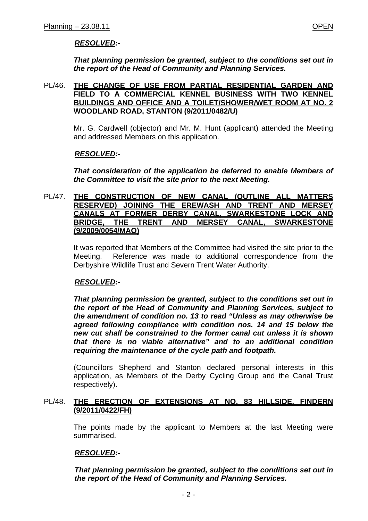# *RESOLVED:-*

*That planning permission be granted, subject to the conditions set out in the report of the Head of Community and Planning Services.* 

#### PL/46. **THE CHANGE OF USE FROM PARTIAL RESIDENTIAL GARDEN AND FIELD TO A COMMERCIAL KENNEL BUSINESS WITH TWO KENNEL BUILDINGS AND OFFICE AND A TOILET/SHOWER/WET ROOM AT NO. 2 WOODLAND ROAD, STANTON (9/2011/0482/U)**

Mr. G. Cardwell (objector) and Mr. M. Hunt (applicant) attended the Meeting and addressed Members on this application.

#### *RESOLVED:-*

*That consideration of the application be deferred to enable Members of the Committee to visit the site prior to the next Meeting.* 

#### PL/47. **THE CONSTRUCTION OF NEW CANAL (OUTLINE ALL MATTERS RESERVED) JOINING THE EREWASH AND TRENT AND MERSEY CANALS AT FORMER DERBY CANAL, SWARKESTONE LOCK AND BRIDGE, THE TRENT AND MERSEY CANAL, SWARKESTONE (9/2009/0054/MAO)**

It was reported that Members of the Committee had visited the site prior to the Meeting. Reference was made to additional correspondence from the Derbyshire Wildlife Trust and Severn Trent Water Authority.

## *RESOLVED:-*

*That planning permission be granted, subject to the conditions set out in the report of the Head of Community and Planning Services, subject to the amendment of condition no. 13 to read "Unless as may otherwise be agreed following compliance with condition nos. 14 and 15 below the new cut shall be constrained to the former canal cut unless it is shown that there is no viable alternative" and to an additional condition requiring the maintenance of the cycle path and footpath.* 

(Councillors Shepherd and Stanton declared personal interests in this application, as Members of the Derby Cycling Group and the Canal Trust respectively).

## PL/48. **THE ERECTION OF EXTENSIONS AT NO. 83 HILLSIDE, FINDERN (9/2011/0422/FH)**

 The points made by the applicant to Members at the last Meeting were summarised.

## *RESOLVED:-*

*That planning permission be granted, subject to the conditions set out in the report of the Head of Community and Planning Services.*